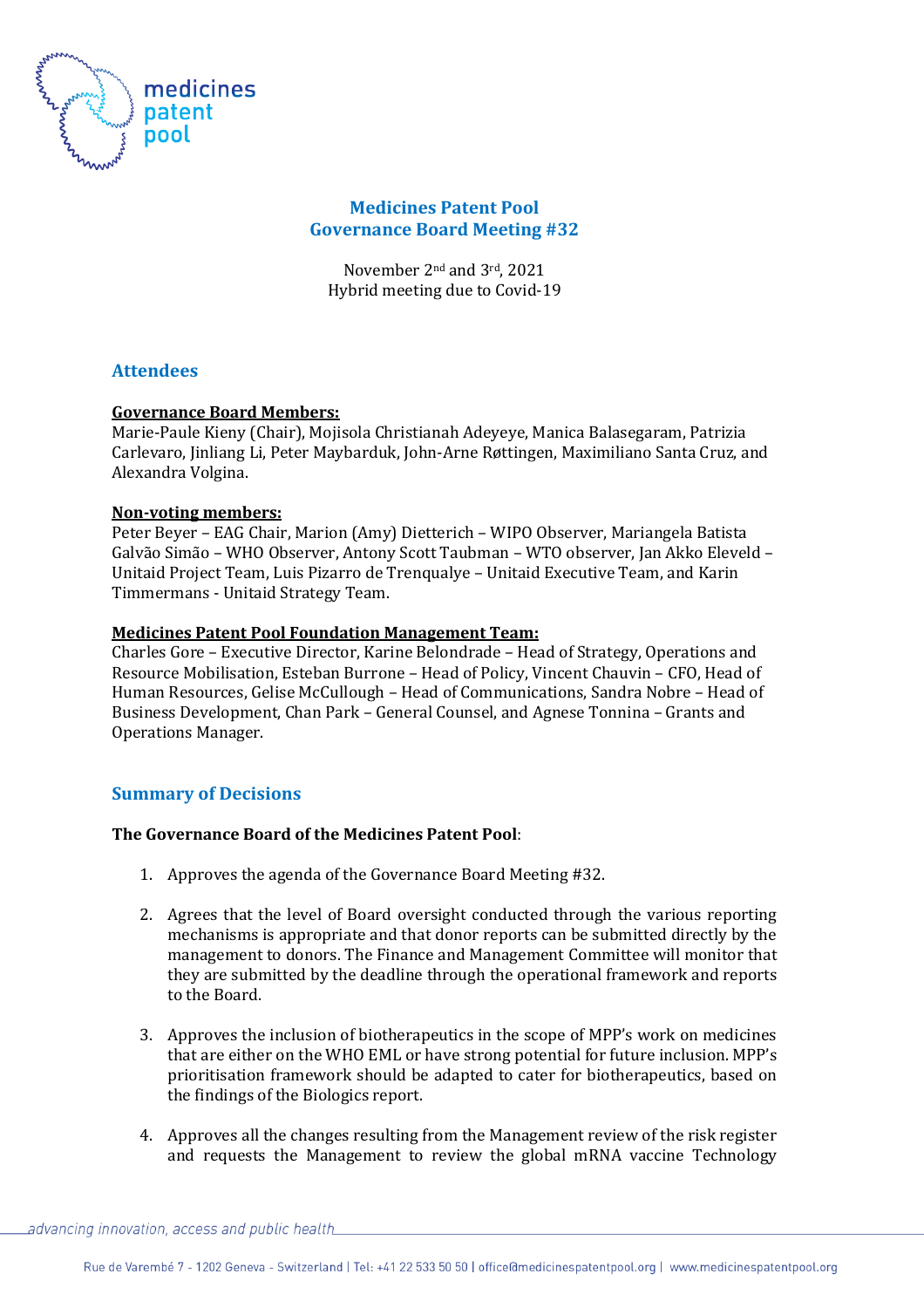

## **Medicines Patent Pool Governance Board Meeting #32**

November 2nd and 3rd, 2021 Hybrid meeting due to Covid-19

# **Attendees**

### **Governance Board Members:**

Marie-Paule Kieny (Chair), Mojisola Christianah Adeyeye, Manica Balasegaram, Patrizia Carlevaro, Jinliang Li, Peter Maybarduk, John-Arne Røttingen, Maximiliano Santa Cruz, and Alexandra Volgina.

### **Non-voting members:**

Peter Beyer – EAG Chair, Marion (Amy) Dietterich – WIPO Observer, Mariangela Batista Galvão Simão – WHO Observer, Antony Scott Taubman – WTO observer, Jan Akko Eleveld – Unitaid Project Team, Luis Pizarro de Trenqualye – Unitaid Executive Team, and Karin Timmermans - Unitaid Strategy Team.

### **Medicines Patent Pool Foundation Management Team:**

Charles Gore – Executive Director, Karine Belondrade – Head of Strategy, Operations and Resource Mobilisation, Esteban Burrone – Head of Policy, Vincent Chauvin – CFO, Head of Human Resources, Gelise McCullough – Head of Communications, Sandra Nobre – Head of Business Development, Chan Park – General Counsel, and Agnese Tonnina – Grants and Operations Manager.

# **Summary of Decisions**

# **The Governance Board of the Medicines Patent Pool**:

- 1. Approves the agenda of the Governance Board Meeting #32.
- 2. Agrees that the level of Board oversight conducted through the various reporting mechanisms is appropriate and that donor reports can be submitted directly by the management to donors. The Finance and Management Committee will monitor that they are submitted by the deadline through the operational framework and reports to the Board.
- 3. Approves the inclusion of biotherapeutics in the scope of MPP's work on medicines that are either on the WHO EML or have strong potential for future inclusion. MPP's prioritisation framework should be adapted to cater for biotherapeutics, based on the findings of the Biologics report.
- 4. Approves all the changes resulting from the Management review of the risk register and requests the Management to review the global mRNA vaccine Technology

 $\_advancing$  innovation, access and public health $\_$